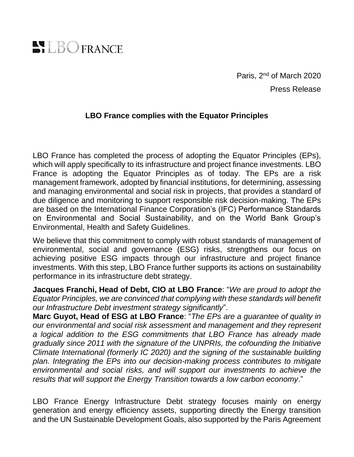

Paris, 2<sup>nd</sup> of March 2020 Press Release

## **LBO France complies with the Equator Principles**

LBO France has completed the process of adopting the Equator Principles (EPs), which will apply specifically to its infrastructure and project finance investments. LBO France is adopting the Equator Principles as of today. The EPs are a risk management framework, adopted by financial institutions, for determining, assessing and managing environmental and social risk in projects, that provides a standard of due diligence and monitoring to support responsible risk decision-making. The EPs are based on the International Finance Corporation's (IFC) Performance Standards on Environmental and Social Sustainability, and on the World Bank Group's Environmental, Health and Safety Guidelines.

We believe that this commitment to comply with robust standards of management of environmental, social and governance (ESG) risks, strengthens our focus on achieving positive ESG impacts through our infrastructure and project finance investments. With this step, LBO France further supports its actions on sustainability performance in its infrastructure debt strategy.

**Jacques Franchi, Head of Debt, CIO at LBO France**: "*We are proud to adopt the Equator Principles, we are convinced that complying with these standards will benefit our Infrastructure Debt investment strategy significantly*".

**Marc Guyot, Head of ESG at LBO France**: "*The EPs are a guarantee of quality in our environmental and social risk assessment and management and they represent a logical addition to the ESG commitments that LBO France has already made gradually since 2011 with the signature of the UNPRIs, the cofounding the Initiative Climate International (formerly IC 2020) and the signing of the sustainable building plan. Integrating the EPs into our decision-making process contributes to mitigate environmental and social risks, and will support our investments to achieve the results that will support the Energy Transition towards a low carbon economy*."

LBO France Energy Infrastructure Debt strategy focuses mainly on energy generation and energy efficiency assets, supporting directly the Energy transition and the UN Sustainable Development Goals, also supported by the Paris Agreement